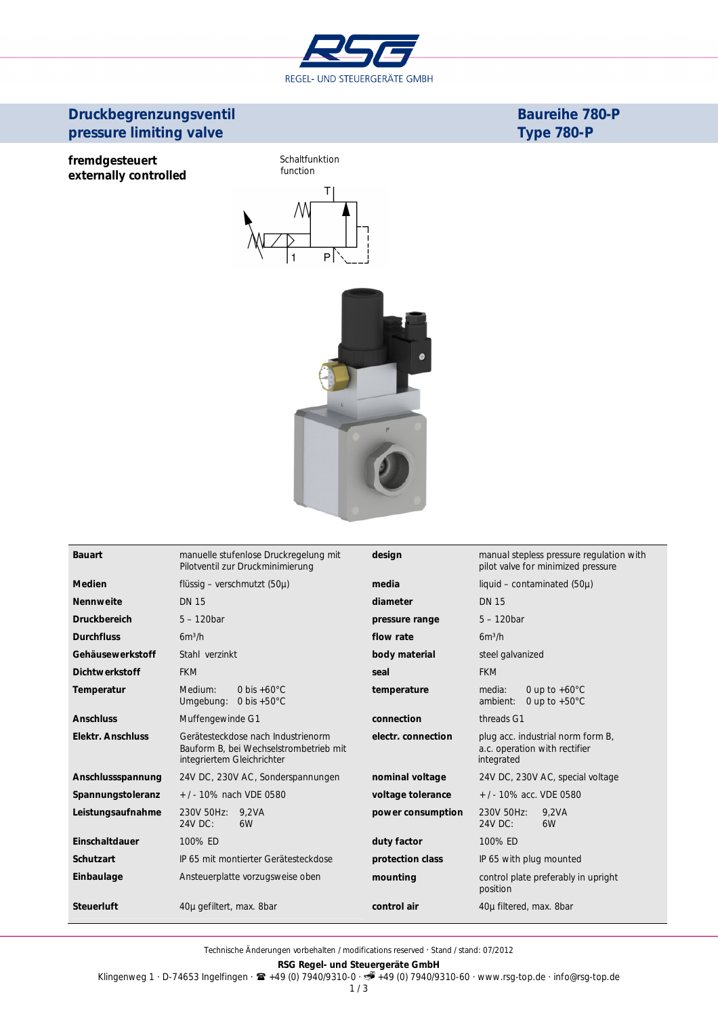

# **Druckbegrenzungsventil** *pressure limiting valve*

**Baureihe 780-P** *Type 780-P*

**fremdgesteuert** *externally controlled* Schaltfunktion *function*  $T$ 



| <b>Bauart</b>            | manuelle stufenlose Druckregelung mit<br>Pilotventil zur Druckminimierung                                  | design             | manual stepless pressure regulation with<br>pilot valve for minimized pressure   |
|--------------------------|------------------------------------------------------------------------------------------------------------|--------------------|----------------------------------------------------------------------------------|
| <b>Medien</b>            | flüssig – verschmutzt (50 $\mu$ )                                                                          | media              | liquid – contaminated $(50\mu)$                                                  |
| <b>Nennweite</b>         | <b>DN 15</b>                                                                                               | diameter           | <b>DN 15</b>                                                                     |
| <b>Druckbereich</b>      | $5 - 120$ bar                                                                                              | pressure range     | $5 - 120$ <i>bar</i>                                                             |
| <b>Durchfluss</b>        | $6m^3/h$                                                                                                   | flow rate          | $6m^3/h$                                                                         |
| Gehäusewerkstoff         | Stahl verzinkt                                                                                             | body material      | steel galvanized                                                                 |
| <b>Dichtwerkstoff</b>    | <b>FKM</b>                                                                                                 | seal               | <b>FKM</b>                                                                       |
| Temperatur               | 0 bis $+60^{\circ}$ C<br>Medium:<br>Umgebung: $0 \text{ bis } +50^{\circ} \text{C}$                        | temperature        | 0 up to $+60^{\circ}$ C<br>media:<br>ambient:<br>0 up to $+50^{\circ}$ C         |
| <b>Anschluss</b>         | Muffengewinde G1                                                                                           | connection         | threads G1                                                                       |
| <b>Elektr. Anschluss</b> | Gerätesteckdose nach Industrienorm<br>Bauform B, bei Wechselstrombetrieb mit<br>integriertem Gleichrichter | electr. connection | plug acc. industrial norm form B,<br>a.c. operation with rectifier<br>integrated |
| Anschlussspannung        | 24V DC, 230V AC, Sonderspannungen                                                                          | nominal voltage    | 24V DC, 230V AC, special voltage                                                 |
| Spannungstoleranz        | +/-10% nach VDE 0580                                                                                       | voltage tolerance  | +/-10% acc. VDE 0580                                                             |
| Leistungsaufnahme        | 230V 50Hz: 9,2VA<br>24V DC:<br>6W                                                                          | power consumption  | 230V 50Hz:<br>9.2VA<br>24V DC:<br>6W                                             |
| Einschaltdauer           | 100% ED                                                                                                    | duty factor        | 100% ED                                                                          |
| <b>Schutzart</b>         | IP 65 mit montierter Gerätesteckdose                                                                       | protection class   | IP 65 with plug mounted                                                          |
| Einbaulage               | Ansteuerplatte vorzugsweise oben                                                                           | mounting           | control plate preferably in upright<br>position                                  |
| <b>Steuerluft</b>        | 40µ gefiltert, max. 8bar                                                                                   | control air        | 40µ filtered, max. 8bar                                                          |

Technische Änderungen vorbehalten / *modifications reserved* · Stand / *stand*: 07/2012

**RSG Regel- und Steuergeräte GmbH**

Klingenweg 1 · D-74653 Ingelfingen · +49 (0) 7940/9310-0 · +49 (0) 7940/9310-60 · www.rsg-top.de · info@rsg-top.de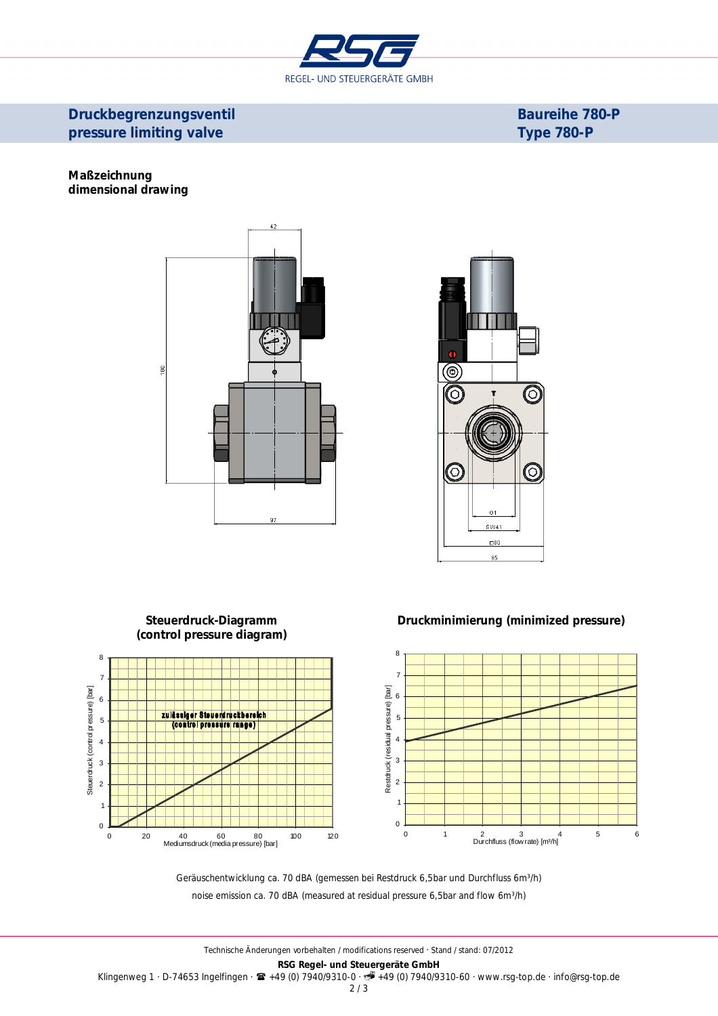

## **Druckbegrenzungsventil** *pressure limiting valve*

**Baureihe 780-P** *Type 780-P*

#### **Maßzeichnung** *dimensional drawing*





#### **Steuerdruck-Diagramm Druckminimierung** *(minimized pressure) (control pressure diagram)* 8 8 7 7 Restdruck (residual pressure) [bar] Steuerdruck (control pressure) [bar] Steuerdruck (control pressure) [bar] 6 6 zulässiger Steuerdruckbereich 5 5 trol pressure range) 4 4 3 3 2 2 1 1 0 0 0 1 2 3 4 5 6 Durchfluss (flow rate) [m³/h] 0 20 40 60 80 100 120 Mediumsdruck (media pressure) [bar]

Geräuschentwicklung ca. 70 dBA (gemessen bei Restdruck 6,5bar und Durchfluss 6m<sup>3</sup>/h) *noise emission ca. 70 dBA (measured at residual pressure 6,5bar and flow 6m³/h)*

2 / 3